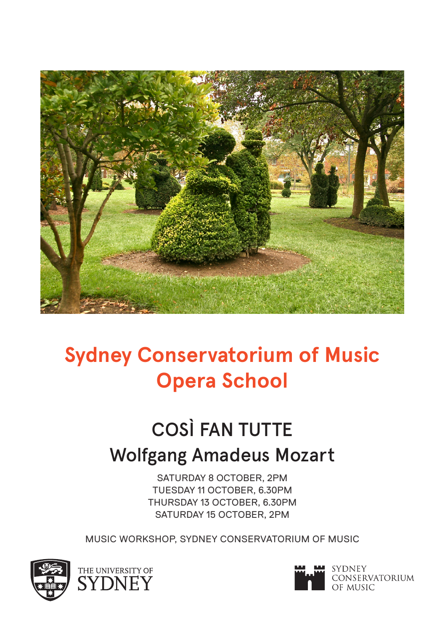

# **Sydney Conservatorium of Music Opera School**

# COSÌ FAN TUTTE Wolfgang Amadeus Mozart

SATURDAY 8 OCTOBER, 2PM TUESDAY 11 OCTOBER, 6.30PM THURSDAY 13 OCTOBER, 6.30PM SATURDAY 15 OCTOBER, 2PM

MUSIC WORKSHOP, SYDNEY CONSERVATORIUM OF MUSIC



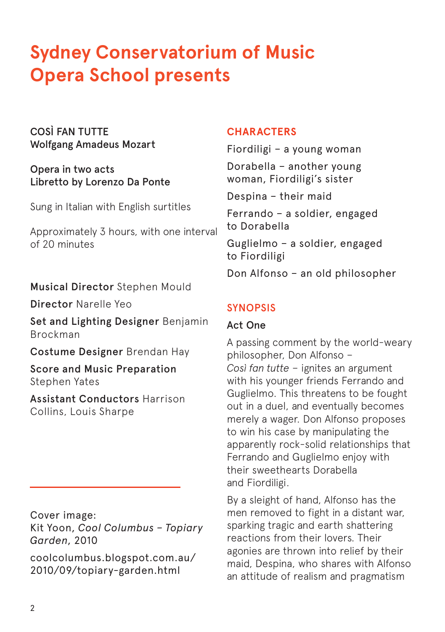## **Sydney Conservatorium of Music Opera School presents**

COSÌ FAN TUTTE Wolfgang Amadeus Mozart

Opera in two acts Libretto by Lorenzo Da Ponte

Sung in Italian with English surtitles

Approximately 3 hours, with one interval of 20 minutes

Musical Director Stephen Mould

Director Narelle Yeo

Set and Lighting Designer Benjamin Brockman

Costume Designer Brendan Hay

Score and Music Preparation Stephen Yates

Assistant Conductors Harrison Collins, Louis Sharpe

Cover image: Kit Yoon, *Cool Columbus – Topiary Garden*, 2010

coolcolumbus.blogspot.com.au/ 2010/09/topiary-garden.html

#### **CHARACTERS**

Fiordiligi – a young woman Dorabella – another young woman, Fiordiligi's sister

Despina – their maid

Ferrando – a soldier, engaged to Dorabella

Guglielmo – a soldier, engaged to Fiordiligi

Don Alfonso – an old philosopher

#### SYNOPSIS

#### Act One

A passing comment by the world-weary philosopher, Don Alfonso – *Così fan tutte* – ignites an argument with his younger friends Ferrando and Guglielmo. This threatens to be fought out in a duel, and eventually becomes merely a wager. Don Alfonso proposes to win his case by manipulating the apparently rock-solid relationships that Ferrando and Guglielmo enjoy with their sweethearts Dorabella and Fiordiligi.

By a sleight of hand, Alfonso has the men removed to fight in a distant war, sparking tragic and earth shattering reactions from their lovers. Their agonies are thrown into relief by their maid, Despina, who shares with Alfonso an attitude of realism and pragmatism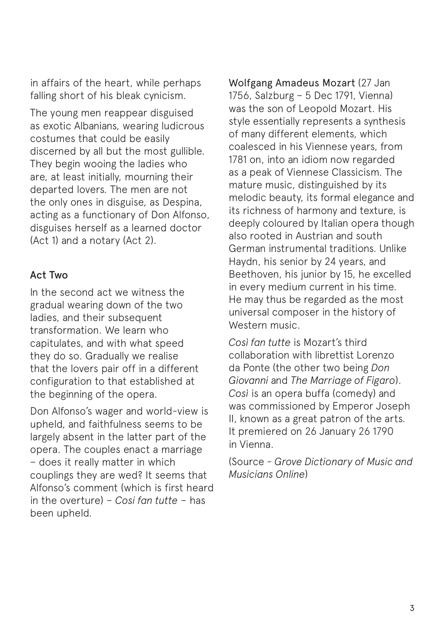in affairs of the heart, while perhaps falling short of his bleak cynicism.

The young men reappear disguised as exotic Albanians, wearing ludicrous costumes that could be easily discerned by all but the most gullible. They begin wooing the ladies who are, at least initially, mourning their departed lovers. The men are not the only ones in disguise, as Despina, acting as a functionary of Don Alfonso, disguises herself as a learned doctor (Act 1) and a notary (Act 2).

#### Act Two

In the second act we witness the gradual wearing down of the two ladies, and their subsequent transformation. We learn who capitulates, and with what speed they do so. Gradually we realise that the lovers pair off in a different configuration to that established at the beginning of the opera.

Don Alfonso's wager and world-view is upheld, and faithfulness seems to be largely absent in the latter part of the opera. The couples enact a marriage – does it really matter in which couplings they are wed? It seems that Alfonso's comment (which is first heard in the overture) – *Cosi fan tutte* – has been upheld.

Wolfgang Amadeus Mozart (27 Jan 1756, Salzburg – 5 Dec 1791, Vienna) was the son of Leopold Mozart. His style essentially represents a synthesis of many different elements, which coalesced in his Viennese years, from 1781 on, into an idiom now regarded as a peak of Viennese Classicism. The mature music, distinguished by its melodic beauty, its formal elegance and its richness of harmony and texture, is deeply coloured by Italian opera though also rooted in Austrian and south German instrumental traditions. Unlike Haydn, his senior by 24 years, and Beethoven, his junior by 15, he excelled in every medium current in his time. He may thus be regarded as the most universal composer in the history of Western music.

*Così fan tutte* is Mozart's third collaboration with librettist Lorenzo da Ponte (the other two being *Don Giovanni* and *The Marriage of Figaro*). *Così* is an opera buffa (comedy) and was commissioned by Emperor Joseph II, known as a great patron of the arts. It premiered on 26 January 26 1790 in Vienna.

(Source - *Grove Dictionary of Music and Musicians Online*)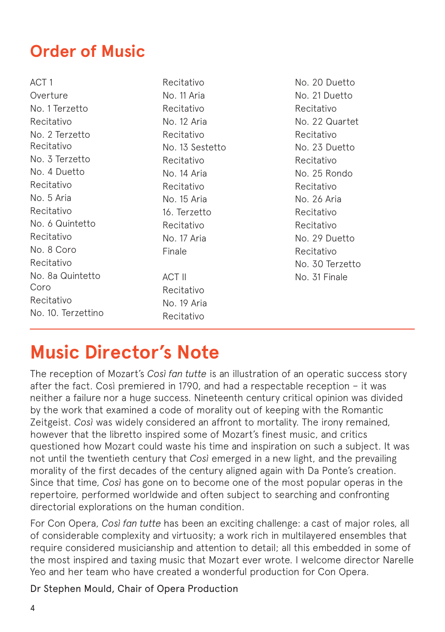### **Order of Music**

ACT 1 Overture No. 1 Terzetto Recitativo No. 2 Terzetto Recitativo No. 3 Terzetto No. 4 Duetto Recitativo No. 5 Aria Recitativo No. 6 Quintetto Recitativo No. 8 Coro Recitativo No. 8a Quintetto Coro Recitativo No. 10. Terzettino

Recitativo No. 11 Aria Recitativo No. 12 Aria Recitativo No. 13 Sestetto Recitativo No. 14 Aria Recitativo No. 15 Aria 16. Terzetto Recitativo No. 17 Aria Finale ACT II Recitativo

No. 19 Aria Recitativo

No. 20 Duetto No. 21 Duetto Recitativo No. 22 Quartet Recitativo No. 23 Duetto Recitativo No. 25 Rondo Recitativo No. 26 Aria Recitativo Recitativo No. 29 Duetto Recitativo No. 30 Terzetto No. 31 Finale

### **Music Director's Note**

The reception of Mozart's *Così fan tutte* is an illustration of an operatic success story after the fact. Così premiered in 1790, and had a respectable reception – it was neither a failure nor a huge success. Nineteenth century critical opinion was divided by the work that examined a code of morality out of keeping with the Romantic Zeitgeist. *Così* was widely considered an affront to mortality. The irony remained, however that the libretto inspired some of Mozart's finest music, and critics questioned how Mozart could waste his time and inspiration on such a subject. It was not until the twentieth century that *Così* emerged in a new light, and the prevailing morality of the first decades of the century aligned again with Da Ponte's creation. Since that time, *Così* has gone on to become one of the most popular operas in the repertoire, performed worldwide and often subject to searching and confronting directorial explorations on the human condition.

For Con Opera, *Così fan tutte* has been an exciting challenge: a cast of major roles, all of considerable complexity and virtuosity; a work rich in multilayered ensembles that require considered musicianship and attention to detail; all this embedded in some of the most inspired and taxing music that Mozart ever wrote. I welcome director Narelle Yeo and her team who have created a wonderful production for Con Opera.

Dr Stephen Mould, Chair of Opera Production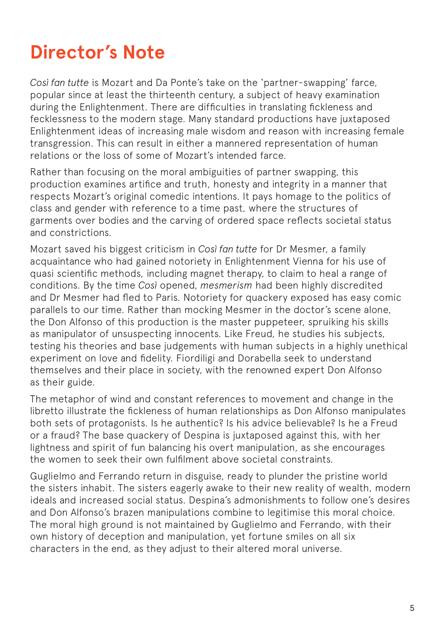### **Director's Note**

*Così fan tutte* is Mozart and Da Ponte's take on the 'partner-swapping' farce, popular since at least the thirteenth century, a subject of heavy examination during the Enlightenment. There are difficulties in translating fickleness and fecklessness to the modern stage. Many standard productions have juxtaposed Enlightenment ideas of increasing male wisdom and reason with increasing female transgression. This can result in either a mannered representation of human relations or the loss of some of Mozart's intended farce.

Rather than focusing on the moral ambiguities of partner swapping, this production examines artifice and truth, honesty and integrity in a manner that respects Mozart's original comedic intentions. It pays homage to the politics of class and gender with reference to a time past, where the structures of garments over bodies and the carving of ordered space reflects societal status and constrictions.

Mozart saved his biggest criticism in *Così fan tutte* for Dr Mesmer, a family acquaintance who had gained notoriety in Enlightenment Vienna for his use of quasi scientific methods, including magnet therapy, to claim to heal a range of conditions. By the time *Così* opened, *mesmerism* had been highly discredited and Dr Mesmer had fled to Paris. Notoriety for quackery exposed has easy comic parallels to our time. Rather than mocking Mesmer in the doctor's scene alone, the Don Alfonso of this production is the master puppeteer, spruiking his skills as manipulator of unsuspecting innocents. Like Freud, he studies his subjects, testing his theories and base judgements with human subjects in a highly unethical experiment on love and fidelity. Fiordiligi and Dorabella seek to understand themselves and their place in society, with the renowned expert Don Alfonso as their guide.

The metaphor of wind and constant references to movement and change in the libretto illustrate the fickleness of human relationships as Don Alfonso manipulates both sets of protagonists. Is he authentic? Is his advice believable? Is he a Freud or a fraud? The base quackery of Despina is juxtaposed against this, with her lightness and spirit of fun balancing his overt manipulation, as she encourages the women to seek their own fulfilment above societal constraints.

Guglielmo and Ferrando return in disguise, ready to plunder the pristine world the sisters inhabit. The sisters eagerly awake to their new reality of wealth, modern ideals and increased social status. Despina's admonishments to follow one's desires and Don Alfonso's brazen manipulations combine to legitimise this moral choice. The moral high ground is not maintained by Guglielmo and Ferrando, with their own history of deception and manipulation, yet fortune smiles on all six characters in the end, as they adjust to their altered moral universe.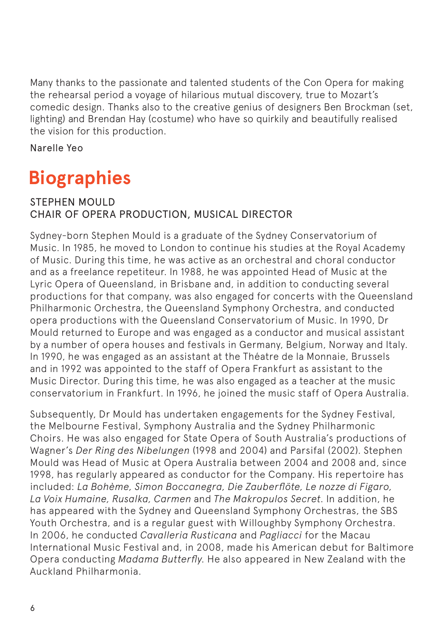Many thanks to the passionate and talented students of the Con Opera for making the rehearsal period a voyage of hilarious mutual discovery, true to Mozart's comedic design. Thanks also to the creative genius of designers Ben Brockman (set, lighting) and Brendan Hay (costume) who have so quirkily and beautifully realised the vision for this production.

Narelle Yeo

### **Biographies**

#### STEPHEN MOULD CHAIR OF OPERA PRODUCTION, MUSICAL DIRECTOR

Sydney-born Stephen Mould is a graduate of the Sydney Conservatorium of Music. In 1985, he moved to London to continue his studies at the Royal Academy of Music. During this time, he was active as an orchestral and choral conductor and as a freelance repetiteur. In 1988, he was appointed Head of Music at the Lyric Opera of Queensland, in Brisbane and, in addition to conducting several productions for that company, was also engaged for concerts with the Queensland Philharmonic Orchestra, the Queensland Symphony Orchestra, and conducted opera productions with the Queensland Conservatorium of Music. In 1990, Dr Mould returned to Europe and was engaged as a conductor and musical assistant by a number of opera houses and festivals in Germany, Belgium, Norway and Italy. In 1990, he was engaged as an assistant at the Théatre de la Monnaie, Brussels and in 1992 was appointed to the staff of Opera Frankfurt as assistant to the Music Director. During this time, he was also engaged as a teacher at the music conservatorium in Frankfurt. In 1996, he joined the music staff of Opera Australia.

Subsequently, Dr Mould has undertaken engagements for the Sydney Festival, the Melbourne Festival, Symphony Australia and the Sydney Philharmonic Choirs. He was also engaged for State Opera of South Australia's productions of Wagner's *Der Ring des Nibelungen* (1998 and 2004) and Parsifal (2002). Stephen Mould was Head of Music at Opera Australia between 2004 and 2008 and, since 1998, has regularly appeared as conductor for the Company. His repertoire has included: *La Bohème, Simon Boccanegra, Die Zauberflöte, Le nozze di Figaro, La Voix Humaine, Rusalka, Carmen* and *The Makropulos Secret*. In addition, he has appeared with the Sydney and Queensland Symphony Orchestras, the SBS Youth Orchestra, and is a regular guest with Willoughby Symphony Orchestra. In 2006, he conducted *Cavalleria Rusticana* and *Pagliacci* for the Macau International Music Festival and, in 2008, made his American debut for Baltimore Opera conducting *Madama Butterfly*. He also appeared in New Zealand with the Auckland Philharmonia.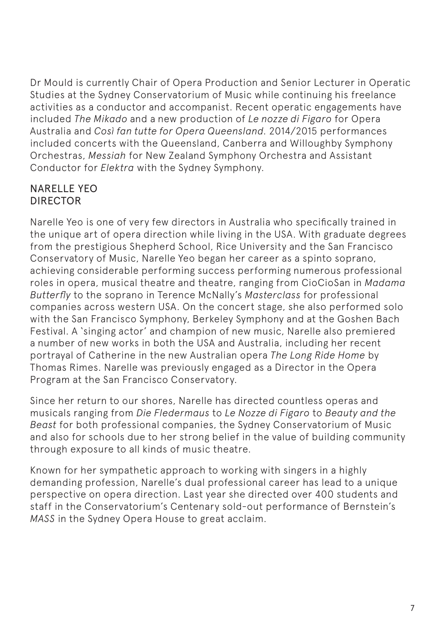Dr Mould is currently Chair of Opera Production and Senior Lecturer in Operatic Studies at the Sydney Conservatorium of Music while continuing his freelance activities as a conductor and accompanist. Recent operatic engagements have included *The Mikado* and a new production of *Le nozze di Figaro* for Opera Australia and *Così fan tutte for Opera Queensland*. 2014/2015 performances included concerts with the Queensland, Canberra and Willoughby Symphony Orchestras, *Messiah* for New Zealand Symphony Orchestra and Assistant Conductor for *Elektra* with the Sydney Symphony.

#### NARELLE YEO DIRECTOR

Narelle Yeo is one of very few directors in Australia who specifically trained in the unique art of opera direction while living in the USA. With graduate degrees from the prestigious Shepherd School, Rice University and the San Francisco Conservatory of Music, Narelle Yeo began her career as a spinto soprano, achieving considerable performing success performing numerous professional roles in opera, musical theatre and theatre, ranging from CioCioSan in *Madama Butterfly* to the soprano in Terence McNally's *Masterclass* for professional companies across western USA. On the concert stage, she also performed solo with the San Francisco Symphony, Berkeley Symphony and at the Goshen Bach Festival. A 'singing actor' and champion of new music, Narelle also premiered a number of new works in both the USA and Australia, including her recent portrayal of Catherine in the new Australian opera *The Long Ride Home* by Thomas Rimes. Narelle was previously engaged as a Director in the Opera Program at the San Francisco Conservatory.

Since her return to our shores, Narelle has directed countless operas and musicals ranging from *Die Fledermaus* to *Le Nozze di Figaro* to *Beauty and the Beast* for both professional companies, the Sydney Conservatorium of Music and also for schools due to her strong belief in the value of building community through exposure to all kinds of music theatre.

Known for her sympathetic approach to working with singers in a highly demanding profession, Narelle's dual professional career has lead to a unique perspective on opera direction. Last year she directed over 400 students and staff in the Conservatorium's Centenary sold-out performance of Bernstein's *MASS* in the Sydney Opera House to great acclaim.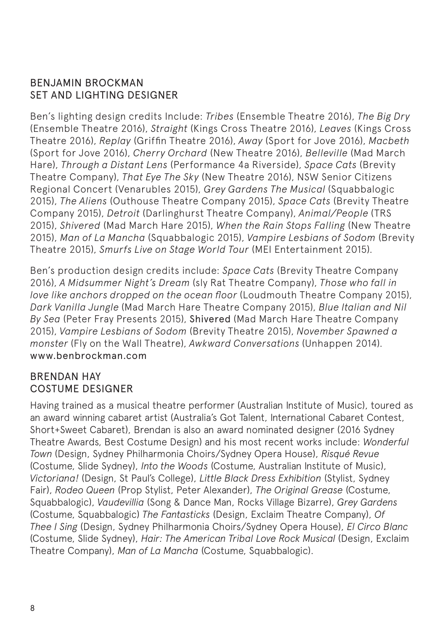#### BENJAMIN BROCKMAN SET AND LIGHTING DESIGNER

Ben's lighting design credits Include: *Tribes* (Ensemble Theatre 2016), *The Big Dry*  (Ensemble Theatre 2016), *Straight* (Kings Cross Theatre 2016), *Leaves* (Kings Cross Theatre 2016), *Replay* (Griffin Theatre 2016), *Away* (Sport for Jove 2016), *Macbeth* (Sport for Jove 2016), *Cherry Orchard* (New Theatre 2016), *Belleville* (Mad March Hare), *Through a Distant Lens* (Performance 4a Riverside), *Space Cats* (Brevity Theatre Company), *That Eye The Sky* (New Theatre 2016), NSW Senior Citizens Regional Concert (Venarubles 2015), *Grey Gardens The Musical* (Squabbalogic 2015), *The Aliens* (Outhouse Theatre Company 2015), *Space Cats* (Brevity Theatre Company 2015), *Detroit* (Darlinghurst Theatre Company), *Animal/People* (TRS 2015), *Shivered* (Mad March Hare 2015), *When the Rain Stops Falling* (New Theatre 2015), *Man of La Mancha* (Squabbalogic 2015), *Vampire Lesbians of Sodom* (Brevity Theatre 2015), *Smurfs Live on Stage World Tour* (MEI Entertainment 2015).

Ben's production design credits include: *Space Cats* (Brevity Theatre Company 2016), *A Midsummer Night's Dream* (sly Rat Theatre Company), *Those who fall in love like anchors dropped on the ocean floor* (Loudmouth Theatre Company 2015), *Dark Vanilla Jungle* (Mad March Hare Theatre Company 2015), *Blue Italian and Nil By Sea* (Peter Fray Presents 2015), Shivered (Mad March Hare Theatre Company 2015), *Vampire Lesbians of Sodom* (Brevity Theatre 2015), *November Spawned a monster* (Fly on the Wall Theatre), *Awkward Conversations* (Unhappen 2014). www.benbrockman.com

#### BRENDAN HAY COSTUME DESIGNER

Having trained as a musical theatre performer (Australian Institute of Music), toured as an award winning cabaret artist (Australia's Got Talent, International Cabaret Contest, Short+Sweet Cabaret), Brendan is also an award nominated designer (2016 Sydney Theatre Awards, Best Costume Design) and his most recent works include: *Wonderful Town* (Design, Sydney Philharmonia Choirs/Sydney Opera House), *Risqué Revue* (Costume, Slide Sydney), *Into the Woods* (Costume, Australian Institute of Music), *Victoriana!* (Design, St Paul's College), *Little Black Dress Exhibition* (Stylist, Sydney Fair), *Rodeo Queen* (Prop Stylist, Peter Alexander), *The Original Grease* (Costume, Squabbalogic), *Vaudevillia* (Song & Dance Man, Rocks Village Bizarre), *Grey Gardens* (Costume, Squabbalogic) *The Fantasticks* (Design, Exclaim Theatre Company), *Of Thee I Sing* (Design, Sydney Philharmonia Choirs/Sydney Opera House), *El Circo Blanc*  (Costume, Slide Sydney), *Hair: The American Tribal Love Rock Musical* (Design, Exclaim Theatre Company), *Man of La Mancha* (Costume, Squabbalogic).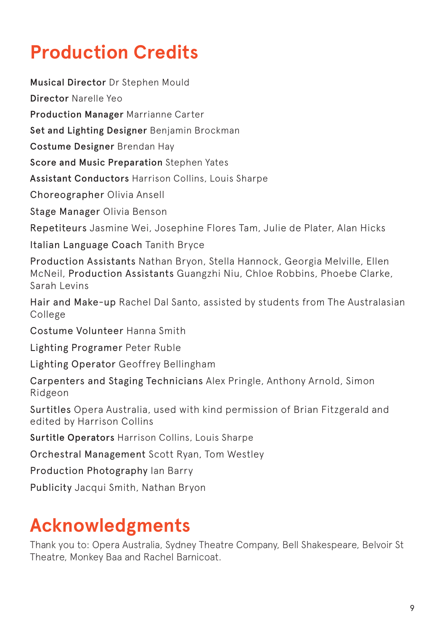# **Production Credits**

Musical Director Dr Stephen Mould Director Narelle Yeo Production Manager Marrianne Carter Set and Lighting Designer Benjamin Brockman Costume Designer Brendan Hay Score and Music Preparation Stephen Yates Assistant Conductors Harrison Collins, Louis Sharpe Choreographer Olivia Ansell Stage Manager Olivia Benson Repetiteurs Jasmine Wei, Josephine Flores Tam, Julie de Plater, Alan Hicks Italian Language Coach Tanith Bryce Production Assistants Nathan Bryon, Stella Hannock, Georgia Melville, Ellen McNeil, Production Assistants Guangzhi Niu, Chloe Robbins, Phoebe Clarke, Sarah Levins Hair and Make-up Rachel Dal Santo, assisted by students from The Australasian College Costume Volunteer Hanna Smith Lighting Programer Peter Ruble Lighting Operator Geoffrey Bellingham Carpenters and Staging Technicians Alex Pringle, Anthony Arnold, Simon Ridgeon Surtitles Opera Australia, used with kind permission of Brian Fitzgerald and edited by Harrison Collins Surtitle Operators Harrison Collins, Louis Sharpe

Orchestral Management Scott Ryan, Tom Westley

Production Photography Ian Barry

Publicity Jacqui Smith, Nathan Bryon

### **Acknowledgments**

Thank you to: Opera Australia, Sydney Theatre Company, Bell Shakespeare, Belvoir St Theatre, Monkey Baa and Rachel Barnicoat.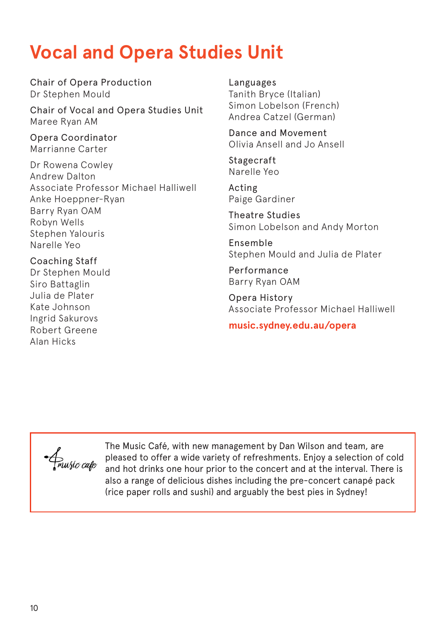### **Vocal and Opera Studies Unit**

Chair of Opera Production Dr Stephen Mould

Chair of Vocal and Opera Studies Unit Maree Ryan AM

Opera Coordinator Marrianne Carter

Dr Rowena Cowley Andrew Dalton Associate Professor Michael Halliwell Anke Hoeppner-Ryan Barry Ryan OAM Robyn Wells Stephen Yalouris Narelle Yeo

Coaching Staff Dr Stephen Mould Siro Battaglin Julia de Plater Kate Johnson Ingrid Sakurovs Robert Greene Alan Hicks

Languages Tanith Bryce (Italian) Simon Lobelson (French) Andrea Catzel (German)

Dance and Movement Olivia Ansell and Jo Ansell

Stagecraft Narelle Yeo

Acting Paige Gardiner

Theatre Studies Simon Lobelson and Andy Morton

Ensemble Stephen Mould and Julia de Plater

Performance Barry Ryan OAM

Opera History Associate Professor Michael Halliwell

**music.sydney.edu.au/opera**

· Amusic cafe

The Music Café, with new management by Dan Wilson and team, are pleased to offer a wide variety of refreshments. Enjoy a selection of cold and hot drinks one hour prior to the concert and at the interval. There is also a range of delicious dishes including the pre-concert canapé pack (rice paper rolls and sushi) and arguably the best pies in Sydney!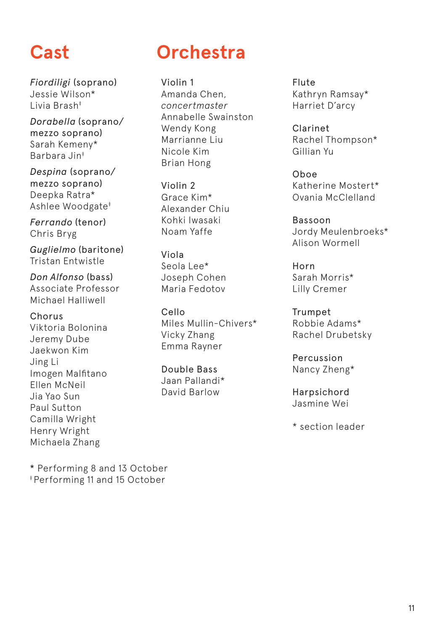*Fiordiligi* (soprano) Jessie Wilson\* Livia Brash‡

*Dorabella* (soprano/ mezzo soprano) Sarah Kemeny\* Barbara Jin‡

*Despina* (soprano/ mezzo soprano) Deepka Ratra\* Ashlee Woodgate‡

*Ferrando* (tenor) Chris Bryg

*Guglielmo* (baritone) Tristan Entwistle

*Don Alfonso* (bass) Associate Professor Michael Halliwell

Chorus Viktoria Bolonina Jeremy Dube Jaekwon Kim Jing Li Imogen Malfitano Ellen McNeil Jia Yao Sun Paul Sutton Camilla Wright Henry Wright Michaela Zhang

### **Cast Orchestra**

Violin 1 Amanda Chen, *concertmaster* Annabelle Swainston Wendy Kong Marrianne Liu Nicole Kim Brian Hong

Violin 2 Grace Kim\* Alexander Chiu Kohki Iwasaki Noam Yaffe

Viola Seola Lee\* Joseph Cohen Maria Fedotov

Cello Miles Mullin-Chivers\* Vicky Zhang Emma Rayner

Double Bass Jaan Pallandi\* David Barlow

Flute Kathryn Ramsay\* Harriet D'arcy

Clarinet Rachel Thompson\* Gillian Yu

Oboe Katherine Mostert\* Ovania McClelland

Bassoon Jordy Meulenbroeks\* Alison Wormell

Horn Sarah Morris\* Lilly Cremer

Trumpet Robbie Adams\* Rachel Drubetsky

Percussion Nancy Zheng\*

Harpsichord Jasmine Wei

\* section leader

\* Performing 8 and 13 October ‡ Performing 11 and 15 October